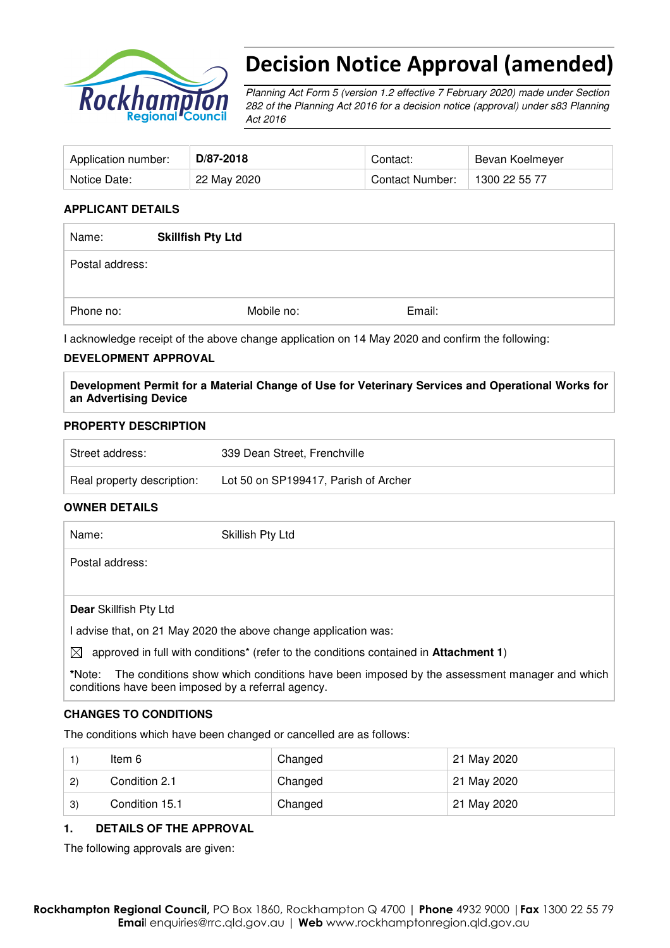

# Decision Notice Approval (amended)

Planning Act Form 5 (version 1.2 effective 7 February 2020) made under Section 282 of the Planning Act 2016 for a decision notice (approval) under s83 Planning Act 2016

| Application number: | D/87-2018   | Contact:               | Bevan Koelmeyer |
|---------------------|-------------|------------------------|-----------------|
| Notice Date:        | 22 May 2020 | <b>Contact Number:</b> | 1300 22 55 77   |

#### **APPLICANT DETAILS**

| Name:           | <b>Skillfish Pty Ltd</b> |        |
|-----------------|--------------------------|--------|
| Postal address: |                          |        |
|                 |                          |        |
| Phone no:       | Mobile no:               | Email: |

I acknowledge receipt of the above change application on 14 May 2020 and confirm the following:

#### **DEVELOPMENT APPROVAL**

**Development Permit for a Material Change of Use for Veterinary Services and Operational Works for an Advertising Device** 

#### **PROPERTY DESCRIPTION**

| Street address:            | 339 Dean Street, Frenchville         |
|----------------------------|--------------------------------------|
| Real property description: | Lot 50 on SP199417, Parish of Archer |

#### **OWNER DETAILS**

| Name:                  | Skillish Pty Ltd                                                |
|------------------------|-----------------------------------------------------------------|
| Postal address:        |                                                                 |
|                        |                                                                 |
| Dear Skillfish Pty Ltd |                                                                 |
|                        | I advise that, on 21 May 2020 the above change application was: |

 $\boxtimes$  approved in full with conditions<sup>\*</sup> (refer to the conditions contained in **Attachment 1**)

**\***Note:The conditions show which conditions have been imposed by the assessment manager and which conditions have been imposed by a referral agency.

#### **CHANGES TO CONDITIONS**

The conditions which have been changed or cancelled are as follows:

|                  | ltem 6         | Changed | 21 May 2020 |
|------------------|----------------|---------|-------------|
| $\left(2\right)$ | Condition 2.1  | Changed | 21 May 2020 |
| 3)               | Condition 15.1 | Changed | 21 May 2020 |

#### **1. DETAILS OF THE APPROVAL**

The following approvals are given: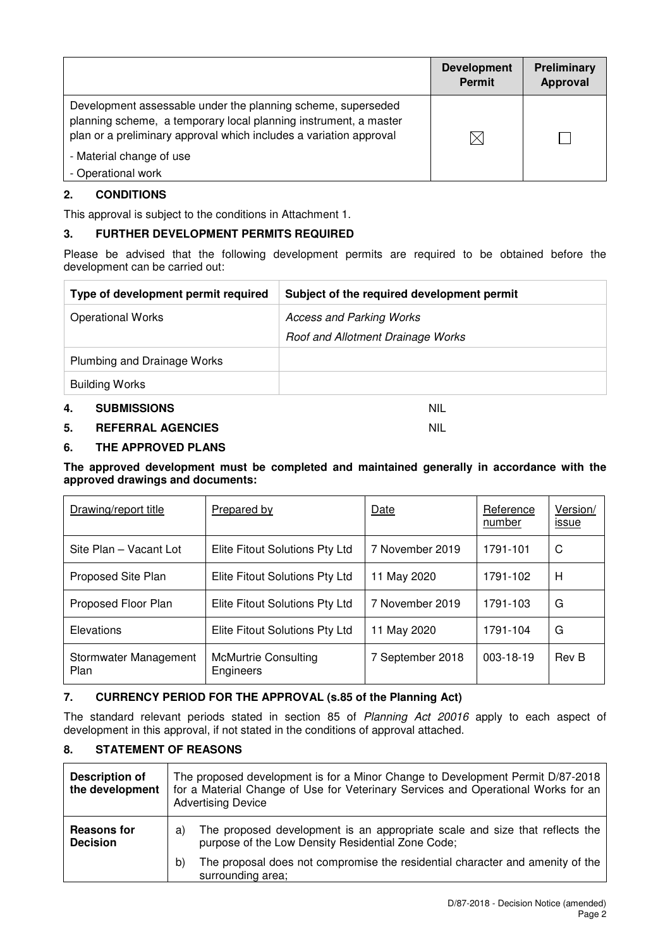|                                                                                                                                                                                                        | <b>Development</b><br><b>Permit</b> | Preliminary<br>Approval |
|--------------------------------------------------------------------------------------------------------------------------------------------------------------------------------------------------------|-------------------------------------|-------------------------|
| Development assessable under the planning scheme, superseded<br>planning scheme, a temporary local planning instrument, a master<br>plan or a preliminary approval which includes a variation approval | $\boxtimes$                         |                         |
| - Material change of use<br>- Operational work                                                                                                                                                         |                                     |                         |

## **2. CONDITIONS**

This approval is subject to the conditions in Attachment 1.

## **3. FURTHER DEVELOPMENT PERMITS REQUIRED**

Please be advised that the following development permits are required to be obtained before the development can be carried out:

| Type of development permit required | Subject of the required development permit |
|-------------------------------------|--------------------------------------------|
| <b>Operational Works</b>            | <b>Access and Parking Works</b>            |
|                                     | Roof and Allotment Drainage Works          |
| Plumbing and Drainage Works         |                                            |
| <b>Building Works</b>               |                                            |
| 4.<br><b>SUBMISSIONS</b>            | nil                                        |

#### **5. REFERRAL AGENCIES** NIL

### **6. THE APPROVED PLANS**

**The approved development must be completed and maintained generally in accordance with the approved drawings and documents:** 

| Drawing/report title          | Prepared by                              | Date             | Reference<br>number | Version/<br><u>issue</u> |
|-------------------------------|------------------------------------------|------------------|---------------------|--------------------------|
| Site Plan - Vacant Lot        | Elite Fitout Solutions Pty Ltd           | 7 November 2019  | 1791-101            | C                        |
| Proposed Site Plan            | Elite Fitout Solutions Pty Ltd           | 11 May 2020      | 1791-102            | Н                        |
| Proposed Floor Plan           | Elite Fitout Solutions Pty Ltd           | 7 November 2019  | 1791-103            | G                        |
| Elevations                    | Elite Fitout Solutions Pty Ltd           | 11 May 2020      | 1791-104            | G                        |
| Stormwater Management<br>Plan | <b>McMurtrie Consulting</b><br>Engineers | 7 September 2018 | 003-18-19           | <b>Rev B</b>             |

## **7. CURRENCY PERIOD FOR THE APPROVAL (s.85 of the Planning Act)**

The standard relevant periods stated in section 85 of Planning Act 20016 apply to each aspect of development in this approval, if not stated in the conditions of approval attached.

#### **8. STATEMENT OF REASONS**

| <b>Description of</b><br>the development | The proposed development is for a Minor Change to Development Permit D/87-2018<br>for a Material Change of Use for Veterinary Services and Operational Works for an<br><b>Advertising Device</b> |  |
|------------------------------------------|--------------------------------------------------------------------------------------------------------------------------------------------------------------------------------------------------|--|
| <b>Reasons for</b><br><b>Decision</b>    | The proposed development is an appropriate scale and size that reflects the<br>a)<br>purpose of the Low Density Residential Zone Code;                                                           |  |
|                                          | The proposal does not compromise the residential character and amenity of the<br>b)<br>surrounding area;                                                                                         |  |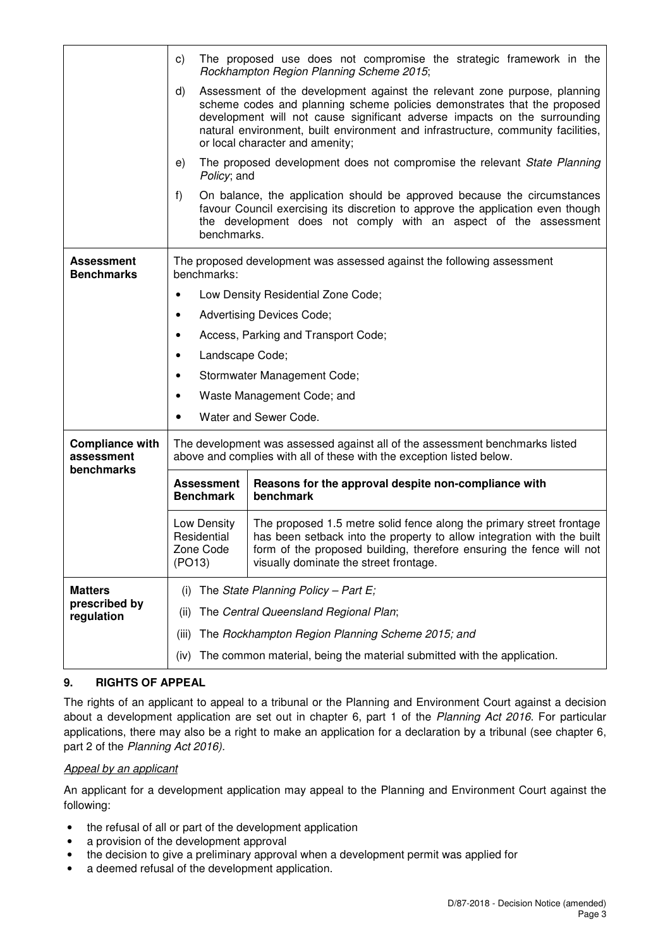|                                                    | C)                                                                                                                                                                                                                                                                                                                                                              | The proposed use does not compromise the strategic framework in the<br>Rockhampton Region Planning Scheme 2015;                                                                                                                 |  |  |  |
|----------------------------------------------------|-----------------------------------------------------------------------------------------------------------------------------------------------------------------------------------------------------------------------------------------------------------------------------------------------------------------------------------------------------------------|---------------------------------------------------------------------------------------------------------------------------------------------------------------------------------------------------------------------------------|--|--|--|
|                                                    | d)<br>Assessment of the development against the relevant zone purpose, planning<br>scheme codes and planning scheme policies demonstrates that the proposed<br>development will not cause significant adverse impacts on the surrounding<br>natural environment, built environment and infrastructure, community facilities,<br>or local character and amenity; |                                                                                                                                                                                                                                 |  |  |  |
|                                                    | e)                                                                                                                                                                                                                                                                                                                                                              | The proposed development does not compromise the relevant State Planning<br>Policy; and                                                                                                                                         |  |  |  |
|                                                    | f)<br>benchmarks.                                                                                                                                                                                                                                                                                                                                               | On balance, the application should be approved because the circumstances<br>favour Council exercising its discretion to approve the application even though<br>the development does not comply with an aspect of the assessment |  |  |  |
| <b>Assessment</b><br><b>Benchmarks</b>             | The proposed development was assessed against the following assessment<br>benchmarks:                                                                                                                                                                                                                                                                           |                                                                                                                                                                                                                                 |  |  |  |
|                                                    |                                                                                                                                                                                                                                                                                                                                                                 | Low Density Residential Zone Code;                                                                                                                                                                                              |  |  |  |
|                                                    | <b>Advertising Devices Code;</b><br>٠                                                                                                                                                                                                                                                                                                                           |                                                                                                                                                                                                                                 |  |  |  |
|                                                    | Access, Parking and Transport Code;<br>٠                                                                                                                                                                                                                                                                                                                        |                                                                                                                                                                                                                                 |  |  |  |
|                                                    | Landscape Code;<br>٠                                                                                                                                                                                                                                                                                                                                            |                                                                                                                                                                                                                                 |  |  |  |
|                                                    | Stormwater Management Code;<br>٠                                                                                                                                                                                                                                                                                                                                |                                                                                                                                                                                                                                 |  |  |  |
|                                                    | Waste Management Code; and<br>٠                                                                                                                                                                                                                                                                                                                                 |                                                                                                                                                                                                                                 |  |  |  |
|                                                    | Water and Sewer Code.                                                                                                                                                                                                                                                                                                                                           |                                                                                                                                                                                                                                 |  |  |  |
| <b>Compliance with</b><br>assessment<br>benchmarks | The development was assessed against all of the assessment benchmarks listed<br>above and complies with all of these with the exception listed below.                                                                                                                                                                                                           |                                                                                                                                                                                                                                 |  |  |  |
|                                                    | Reasons for the approval despite non-compliance with<br><b>Assessment</b><br><b>Benchmark</b><br>benchmark                                                                                                                                                                                                                                                      |                                                                                                                                                                                                                                 |  |  |  |
|                                                    | The proposed 1.5 metre solid fence along the primary street frontage<br>Low Density<br>Residential<br>has been setback into the property to allow integration with the built<br>form of the proposed building, therefore ensuring the fence will not<br>Zone Code<br>(PO13)<br>visually dominate the street frontage.                                           |                                                                                                                                                                                                                                 |  |  |  |
| <b>Matters</b>                                     | (i)                                                                                                                                                                                                                                                                                                                                                             | The State Planning Policy - Part E;                                                                                                                                                                                             |  |  |  |
| prescribed by<br>regulation                        | The Central Queensland Regional Plan;<br>(II)                                                                                                                                                                                                                                                                                                                   |                                                                                                                                                                                                                                 |  |  |  |
|                                                    | (iii)                                                                                                                                                                                                                                                                                                                                                           | The Rockhampton Region Planning Scheme 2015; and                                                                                                                                                                                |  |  |  |
|                                                    | (iv)                                                                                                                                                                                                                                                                                                                                                            | The common material, being the material submitted with the application.                                                                                                                                                         |  |  |  |

## **9. RIGHTS OF APPEAL**

The rights of an applicant to appeal to a tribunal or the Planning and Environment Court against a decision about a development application are set out in chapter 6, part 1 of the Planning Act 2016. For particular applications, there may also be a right to make an application for a declaration by a tribunal (see chapter 6, part 2 of the Planning Act 2016).

#### Appeal by an applicant

An applicant for a development application may appeal to the Planning and Environment Court against the following:

- the refusal of all or part of the development application
- a provision of the development approval
- the decision to give a preliminary approval when a development permit was applied for
- a deemed refusal of the development application.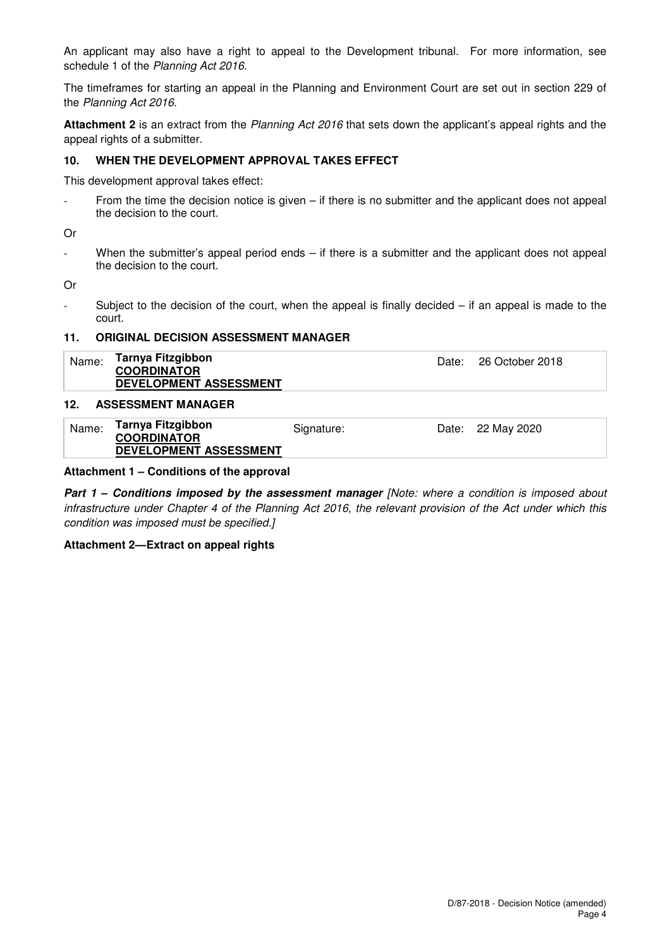An applicant may also have a right to appeal to the Development tribunal. For more information, see schedule 1 of the Planning Act 2016.

The timeframes for starting an appeal in the Planning and Environment Court are set out in section 229 of the Planning Act 2016.

**Attachment 2** is an extract from the Planning Act 2016 that sets down the applicant's appeal rights and the appeal rights of a submitter.

#### **10. WHEN THE DEVELOPMENT APPROVAL TAKES EFFECT**

This development approval takes effect:

From the time the decision notice is given  $-$  if there is no submitter and the applicant does not appeal the decision to the court.

Or

- When the submitter's appeal period ends – if there is a submitter and the applicant does not appeal the decision to the court.

Or

- Subject to the decision of the court, when the appeal is finally decided – if an appeal is made to the court.

#### **11. ORIGINAL DECISION ASSESSMENT MANAGER**

| Name:                    | Tarnya Fitzgibbon<br><b>COORDINATOR</b> | Date: 26 October 2018 |
|--------------------------|-----------------------------------------|-----------------------|
|                          | DEVELOPMENT ASSESSMENT                  |                       |
| $\overline{\phantom{a}}$ |                                         |                       |

#### **12. ASSESSMENT MANAGER**

| Name: | Tarnya Fitzgibbon<br><b>COORDINATOR</b> | Signature: | Date: 22 May 2020 |
|-------|-----------------------------------------|------------|-------------------|
|       | DEVELOPMENT ASSESSMENT                  |            |                   |

#### **Attachment 1 – Conditions of the approval**

**Part 1 – Conditions imposed by the assessment manager [Note: where a condition is imposed about** infrastructure under Chapter 4 of the Planning Act 2016, the relevant provision of the Act under which this condition was imposed must be specified.]

#### **Attachment 2—Extract on appeal rights**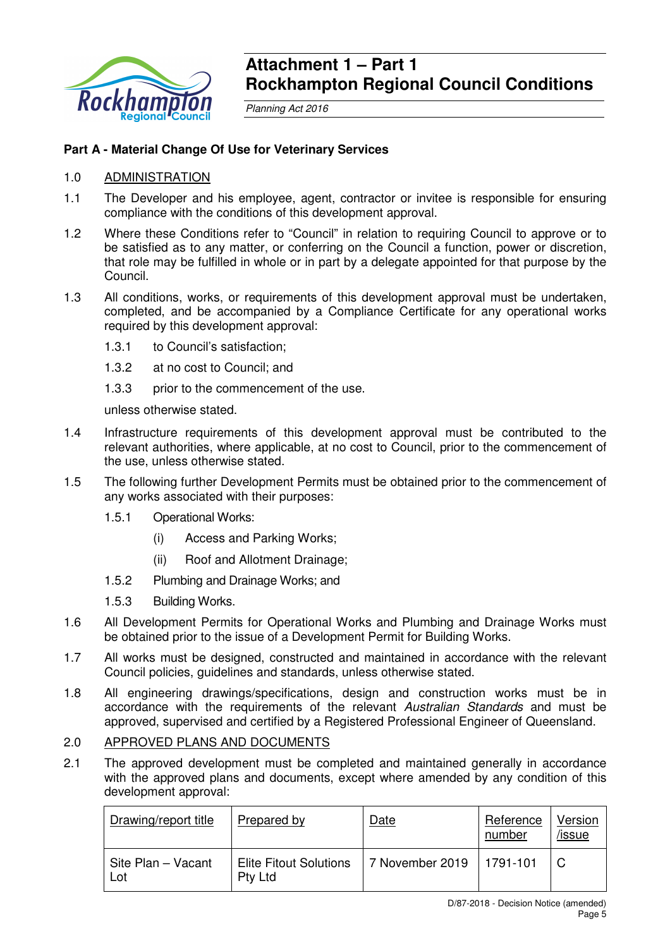

## **Attachment 1 – Part 1 Rockhampton Regional Council Conditions**

Planning Act 2016

## **Part A - Material Change Of Use for Veterinary Services**

## 1.0 ADMINISTRATION

- 1.1 The Developer and his employee, agent, contractor or invitee is responsible for ensuring compliance with the conditions of this development approval.
- 1.2 Where these Conditions refer to "Council" in relation to requiring Council to approve or to be satisfied as to any matter, or conferring on the Council a function, power or discretion, that role may be fulfilled in whole or in part by a delegate appointed for that purpose by the Council.
- 1.3 All conditions, works, or requirements of this development approval must be undertaken, completed, and be accompanied by a Compliance Certificate for any operational works required by this development approval:
	- 1.3.1 to Council's satisfaction;
	- 1.3.2 at no cost to Council; and
	- 1.3.3 prior to the commencement of the use.

unless otherwise stated.

- 1.4 Infrastructure requirements of this development approval must be contributed to the relevant authorities, where applicable, at no cost to Council, prior to the commencement of the use, unless otherwise stated.
- 1.5 The following further Development Permits must be obtained prior to the commencement of any works associated with their purposes:
	- 1.5.1 Operational Works:
		- (i) Access and Parking Works;
		- (ii) Roof and Allotment Drainage;
	- 1.5.2 Plumbing and Drainage Works; and
	- 1.5.3 Building Works.
- 1.6 All Development Permits for Operational Works and Plumbing and Drainage Works must be obtained prior to the issue of a Development Permit for Building Works.
- 1.7 All works must be designed, constructed and maintained in accordance with the relevant Council policies, guidelines and standards, unless otherwise stated.
- 1.8 All engineering drawings/specifications, design and construction works must be in accordance with the requirements of the relevant Australian Standards and must be approved, supervised and certified by a Registered Professional Engineer of Queensland.

#### 2.0 APPROVED PLANS AND DOCUMENTS

2.1 The approved development must be completed and maintained generally in accordance with the approved plans and documents, except where amended by any condition of this development approval:

| Drawing/report title      | <b>Prepared by</b>                       | Date                       | Reference<br>number | Version<br>/issue |
|---------------------------|------------------------------------------|----------------------------|---------------------|-------------------|
| Site Plan – Vacant<br>Lot | <b>Elite Fitout Solutions</b><br>Pty Ltd | 7 November 2019   1791-101 |                     |                   |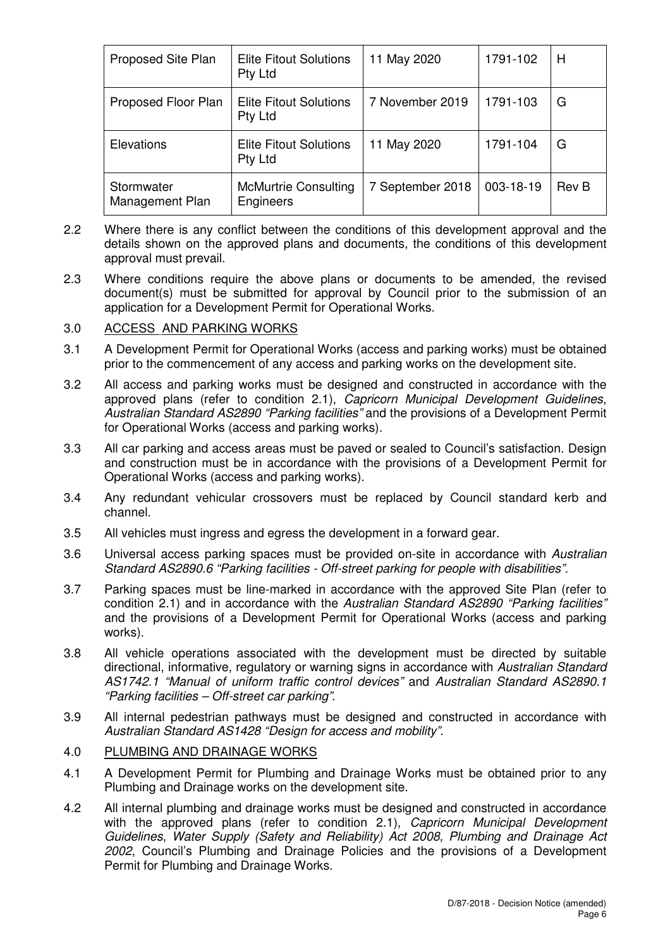| Proposed Site Plan            | <b>Elite Fitout Solutions</b><br>Pty Ltd | 11 May 2020      | 1791-102  | H            |
|-------------------------------|------------------------------------------|------------------|-----------|--------------|
| Proposed Floor Plan           | <b>Elite Fitout Solutions</b><br>Pty Ltd | 7 November 2019  | 1791-103  | G            |
| Elevations                    | <b>Elite Fitout Solutions</b><br>Pty Ltd | 11 May 2020      | 1791-104  | G            |
| Stormwater<br>Management Plan | <b>McMurtrie Consulting</b><br>Engineers | 7 September 2018 | 003-18-19 | <b>Rev B</b> |

- 2.2 Where there is any conflict between the conditions of this development approval and the details shown on the approved plans and documents, the conditions of this development approval must prevail.
- 2.3 Where conditions require the above plans or documents to be amended, the revised document(s) must be submitted for approval by Council prior to the submission of an application for a Development Permit for Operational Works.

## 3.0 ACCESS AND PARKING WORKS

- 3.1 A Development Permit for Operational Works (access and parking works) must be obtained prior to the commencement of any access and parking works on the development site.
- 3.2 All access and parking works must be designed and constructed in accordance with the approved plans (refer to condition 2.1), Capricorn Municipal Development Guidelines, Australian Standard AS2890 "Parking facilities" and the provisions of a Development Permit for Operational Works (access and parking works).
- 3.3 All car parking and access areas must be paved or sealed to Council's satisfaction. Design and construction must be in accordance with the provisions of a Development Permit for Operational Works (access and parking works).
- 3.4 Any redundant vehicular crossovers must be replaced by Council standard kerb and channel.
- 3.5 All vehicles must ingress and egress the development in a forward gear.
- 3.6 Universal access parking spaces must be provided on-site in accordance with Australian Standard AS2890.6 "Parking facilities - Off-street parking for people with disabilities".
- 3.7 Parking spaces must be line-marked in accordance with the approved Site Plan (refer to condition 2.1) and in accordance with the Australian Standard AS2890 "Parking facilities" and the provisions of a Development Permit for Operational Works (access and parking works).
- 3.8 All vehicle operations associated with the development must be directed by suitable directional, informative, regulatory or warning signs in accordance with Australian Standard AS1742.1 "Manual of uniform traffic control devices" and Australian Standard AS2890.1 "Parking facilities – Off-street car parking".
- 3.9 All internal pedestrian pathways must be designed and constructed in accordance with Australian Standard AS1428 "Design for access and mobility".

## 4.0 PLUMBING AND DRAINAGE WORKS

- 4.1 A Development Permit for Plumbing and Drainage Works must be obtained prior to any Plumbing and Drainage works on the development site.
- 4.2 All internal plumbing and drainage works must be designed and constructed in accordance with the approved plans (refer to condition 2.1), Capricorn Municipal Development Guidelines, Water Supply (Safety and Reliability) Act 2008, Plumbing and Drainage Act 2002, Council's Plumbing and Drainage Policies and the provisions of a Development Permit for Plumbing and Drainage Works.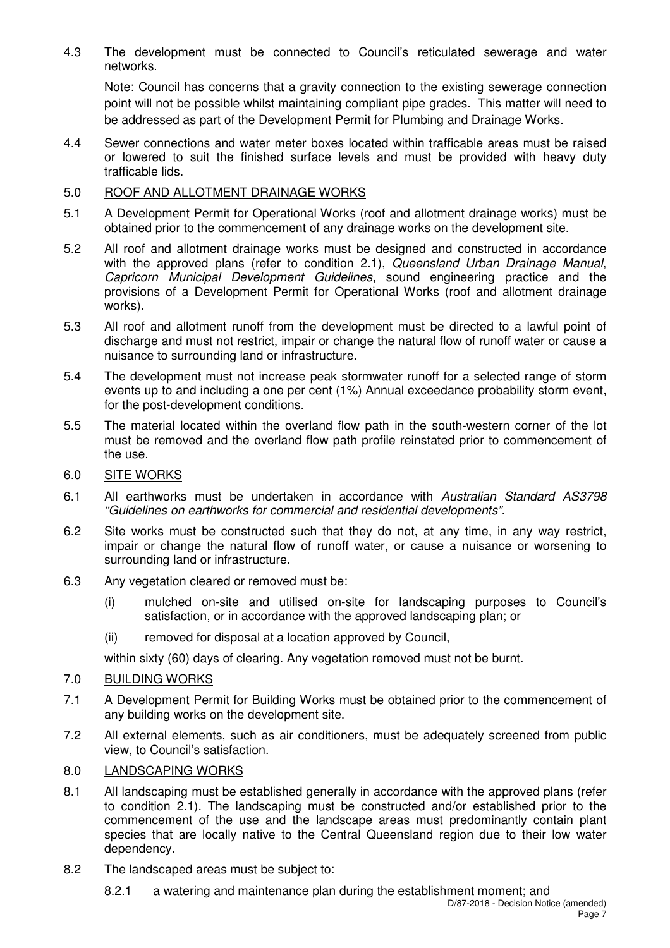4.3 The development must be connected to Council's reticulated sewerage and water networks.

Note: Council has concerns that a gravity connection to the existing sewerage connection point will not be possible whilst maintaining compliant pipe grades. This matter will need to be addressed as part of the Development Permit for Plumbing and Drainage Works.

4.4 Sewer connections and water meter boxes located within trafficable areas must be raised or lowered to suit the finished surface levels and must be provided with heavy duty trafficable lids.

## 5.0 ROOF AND ALLOTMENT DRAINAGE WORKS

- 5.1 A Development Permit for Operational Works (roof and allotment drainage works) must be obtained prior to the commencement of any drainage works on the development site.
- 5.2 All roof and allotment drainage works must be designed and constructed in accordance with the approved plans (refer to condition 2.1), Queensland Urban Drainage Manual, Capricorn Municipal Development Guidelines, sound engineering practice and the provisions of a Development Permit for Operational Works (roof and allotment drainage works).
- 5.3 All roof and allotment runoff from the development must be directed to a lawful point of discharge and must not restrict, impair or change the natural flow of runoff water or cause a nuisance to surrounding land or infrastructure.
- 5.4 The development must not increase peak stormwater runoff for a selected range of storm events up to and including a one per cent (1%) Annual exceedance probability storm event, for the post-development conditions.
- 5.5 The material located within the overland flow path in the south-western corner of the lot must be removed and the overland flow path profile reinstated prior to commencement of the use.

## 6.0 SITE WORKS

- 6.1 All earthworks must be undertaken in accordance with Australian Standard AS3798 "Guidelines on earthworks for commercial and residential developments".
- 6.2 Site works must be constructed such that they do not, at any time, in any way restrict, impair or change the natural flow of runoff water, or cause a nuisance or worsening to surrounding land or infrastructure.
- 6.3 Any vegetation cleared or removed must be:
	- (i) mulched on-site and utilised on-site for landscaping purposes to Council's satisfaction, or in accordance with the approved landscaping plan; or
	- (ii) removed for disposal at a location approved by Council,

within sixty (60) days of clearing. Any vegetation removed must not be burnt.

## 7.0 BUILDING WORKS

- 7.1 A Development Permit for Building Works must be obtained prior to the commencement of any building works on the development site.
- 7.2 All external elements, such as air conditioners, must be adequately screened from public view, to Council's satisfaction.

## 8.0 LANDSCAPING WORKS

- 8.1 All landscaping must be established generally in accordance with the approved plans (refer to condition 2.1). The landscaping must be constructed and/or established prior to the commencement of the use and the landscape areas must predominantly contain plant species that are locally native to the Central Queensland region due to their low water dependency.
- 8.2 The landscaped areas must be subject to:
	- 8.2.1 a watering and maintenance plan during the establishment moment; and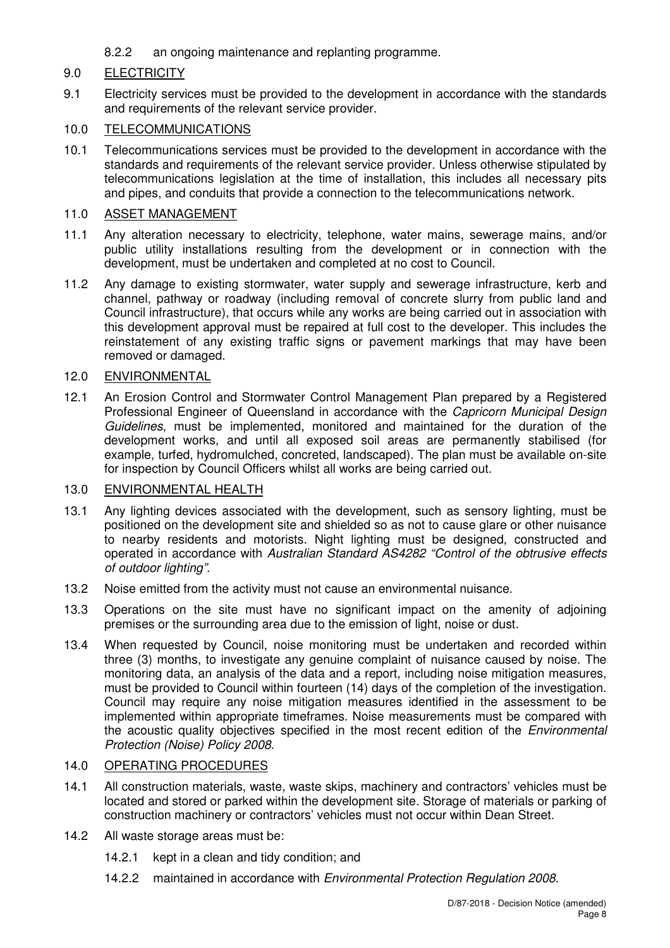8.2.2 an ongoing maintenance and replanting programme.

## 9.0 ELECTRICITY

9.1 Electricity services must be provided to the development in accordance with the standards and requirements of the relevant service provider.

## 10.0 TELECOMMUNICATIONS

10.1 Telecommunications services must be provided to the development in accordance with the standards and requirements of the relevant service provider. Unless otherwise stipulated by telecommunications legislation at the time of installation, this includes all necessary pits and pipes, and conduits that provide a connection to the telecommunications network.

### 11.0 ASSET MANAGEMENT

- 11.1 Any alteration necessary to electricity, telephone, water mains, sewerage mains, and/or public utility installations resulting from the development or in connection with the development, must be undertaken and completed at no cost to Council.
- 11.2 Any damage to existing stormwater, water supply and sewerage infrastructure, kerb and channel, pathway or roadway (including removal of concrete slurry from public land and Council infrastructure), that occurs while any works are being carried out in association with this development approval must be repaired at full cost to the developer. This includes the reinstatement of any existing traffic signs or pavement markings that may have been removed or damaged.

### 12.0 ENVIRONMENTAL

12.1 An Erosion Control and Stormwater Control Management Plan prepared by a Registered Professional Engineer of Queensland in accordance with the Capricorn Municipal Design Guidelines, must be implemented, monitored and maintained for the duration of the development works, and until all exposed soil areas are permanently stabilised (for example, turfed, hydromulched, concreted, landscaped). The plan must be available on-site for inspection by Council Officers whilst all works are being carried out.

## 13.0 ENVIRONMENTAL HEALTH

- 13.1 Any lighting devices associated with the development, such as sensory lighting, must be positioned on the development site and shielded so as not to cause glare or other nuisance to nearby residents and motorists. Night lighting must be designed, constructed and operated in accordance with Australian Standard AS4282 "Control of the obtrusive effects of outdoor lighting".
- 13.2 Noise emitted from the activity must not cause an environmental nuisance.
- 13.3 Operations on the site must have no significant impact on the amenity of adjoining premises or the surrounding area due to the emission of light, noise or dust.
- 13.4 When requested by Council, noise monitoring must be undertaken and recorded within three (3) months, to investigate any genuine complaint of nuisance caused by noise. The monitoring data, an analysis of the data and a report, including noise mitigation measures, must be provided to Council within fourteen (14) days of the completion of the investigation. Council may require any noise mitigation measures identified in the assessment to be implemented within appropriate timeframes. Noise measurements must be compared with the acoustic quality objectives specified in the most recent edition of the Environmental Protection (Noise) Policy 2008.

## 14.0 OPERATING PROCEDURES

- 14.1 All construction materials, waste, waste skips, machinery and contractors' vehicles must be located and stored or parked within the development site. Storage of materials or parking of construction machinery or contractors' vehicles must not occur within Dean Street.
- 14.2 All waste storage areas must be:
	- 14.2.1 kept in a clean and tidy condition; and
	- 14.2.2 maintained in accordance with Environmental Protection Regulation 2008.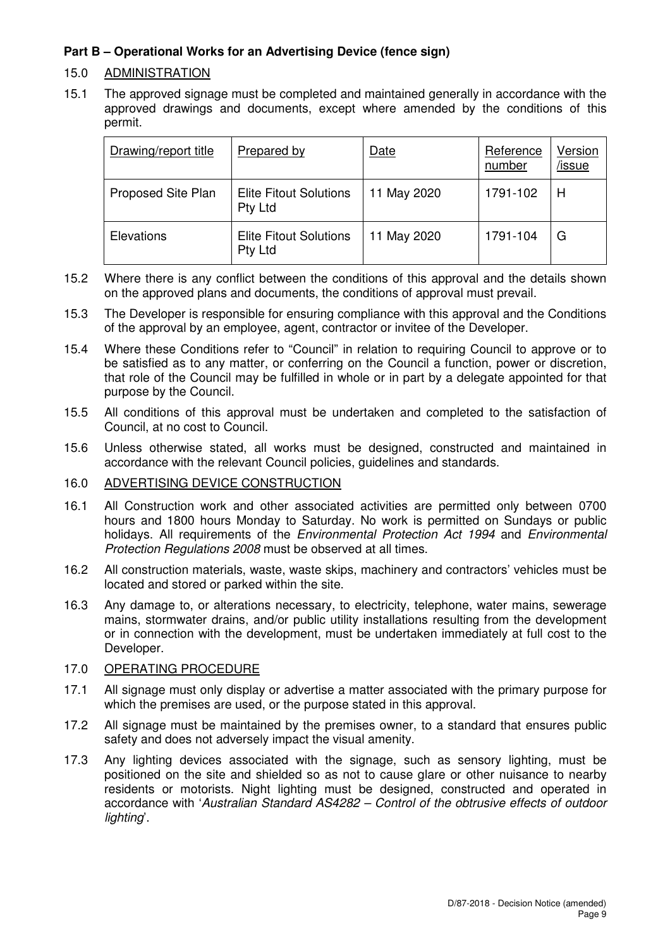## **Part B – Operational Works for an Advertising Device (fence sign)**

## 15.0 ADMINISTRATION

15.1 The approved signage must be completed and maintained generally in accordance with the approved drawings and documents, except where amended by the conditions of this permit.

| Drawing/report title | Prepared by                              | Date        | Reference<br>number | Version<br>/issue |
|----------------------|------------------------------------------|-------------|---------------------|-------------------|
| Proposed Site Plan   | <b>Elite Fitout Solutions</b><br>Pty Ltd | 11 May 2020 | 1791-102            | Н                 |
| Elevations           | <b>Elite Fitout Solutions</b><br>Pty Ltd | 11 May 2020 | 1791-104            | G                 |

- 15.2 Where there is any conflict between the conditions of this approval and the details shown on the approved plans and documents, the conditions of approval must prevail.
- 15.3 The Developer is responsible for ensuring compliance with this approval and the Conditions of the approval by an employee, agent, contractor or invitee of the Developer.
- 15.4 Where these Conditions refer to "Council" in relation to requiring Council to approve or to be satisfied as to any matter, or conferring on the Council a function, power or discretion, that role of the Council may be fulfilled in whole or in part by a delegate appointed for that purpose by the Council.
- 15.5 All conditions of this approval must be undertaken and completed to the satisfaction of Council, at no cost to Council.
- 15.6 Unless otherwise stated, all works must be designed, constructed and maintained in accordance with the relevant Council policies, guidelines and standards.

## 16.0 ADVERTISING DEVICE CONSTRUCTION

- 16.1 All Construction work and other associated activities are permitted only between 0700 hours and 1800 hours Monday to Saturday. No work is permitted on Sundays or public holidays. All requirements of the Environmental Protection Act 1994 and Environmental Protection Requiations 2008 must be observed at all times.
- 16.2 All construction materials, waste, waste skips, machinery and contractors' vehicles must be located and stored or parked within the site.
- 16.3 Any damage to, or alterations necessary, to electricity, telephone, water mains, sewerage mains, stormwater drains, and/or public utility installations resulting from the development or in connection with the development, must be undertaken immediately at full cost to the Developer.

#### 17.0 OPERATING PROCEDURE

- 17.1 All signage must only display or advertise a matter associated with the primary purpose for which the premises are used, or the purpose stated in this approval.
- 17.2 All signage must be maintained by the premises owner, to a standard that ensures public safety and does not adversely impact the visual amenity.
- 17.3 Any lighting devices associated with the signage, such as sensory lighting, must be positioned on the site and shielded so as not to cause glare or other nuisance to nearby residents or motorists. Night lighting must be designed, constructed and operated in accordance with 'Australian Standard AS4282 – Control of the obtrusive effects of outdoor lighting'.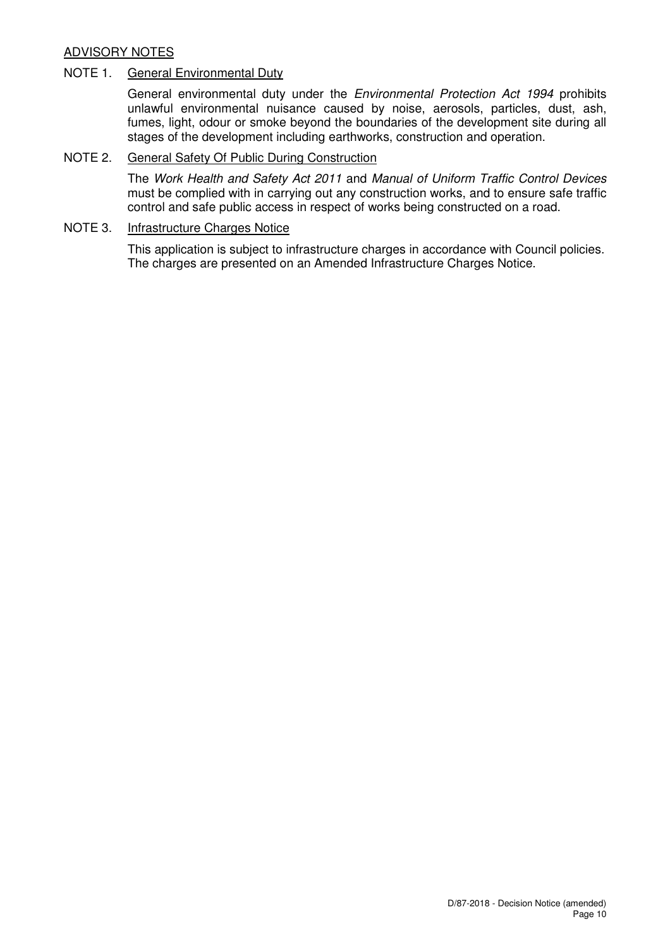## ADVISORY NOTES

## NOTE 1. General Environmental Duty

General environmental duty under the Environmental Protection Act 1994 prohibits unlawful environmental nuisance caused by noise, aerosols, particles, dust, ash, fumes, light, odour or smoke beyond the boundaries of the development site during all stages of the development including earthworks, construction and operation.

## NOTE 2. General Safety Of Public During Construction

The Work Health and Safety Act 2011 and Manual of Uniform Traffic Control Devices must be complied with in carrying out any construction works, and to ensure safe traffic control and safe public access in respect of works being constructed on a road.

## NOTE 3. Infrastructure Charges Notice

This application is subject to infrastructure charges in accordance with Council policies. The charges are presented on an Amended Infrastructure Charges Notice.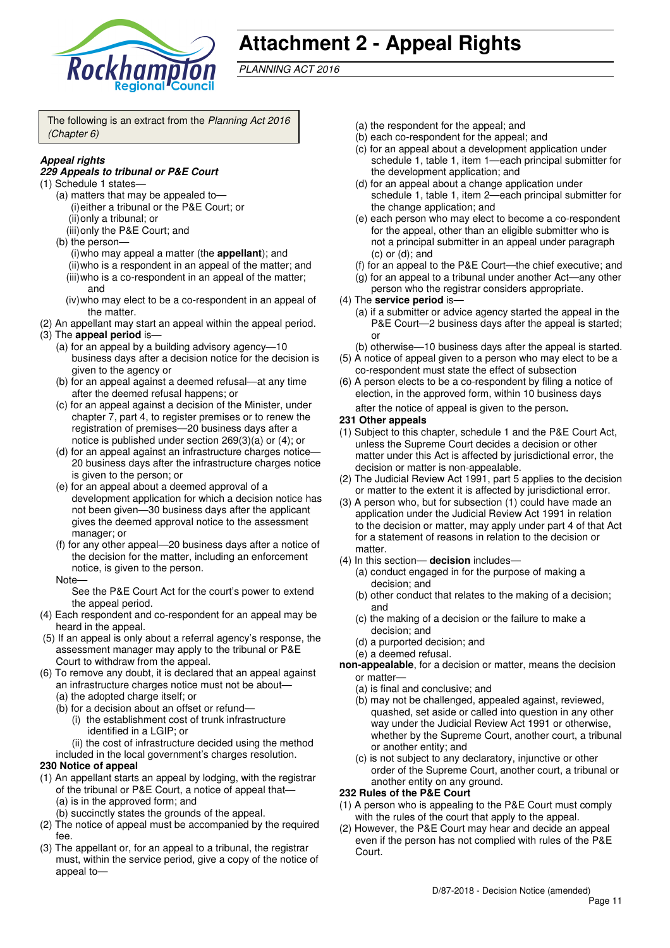

## **Attachment 2 - Appeal Rights**

PLANNING ACT 2016

The following is an extract from the Planning Act 2016 (Chapter 6)

## **Appeal rights**

#### **229 Appeals to tribunal or P&E Court**

- (1) Schedule 1 states—
	- (a) matters that may be appealed to— (i) either a tribunal or the P&E Court; or (ii) only a tribunal; or
		- (iii) only the P&E Court; and
	- (b) the person— (i) who may appeal a matter (the **appellant**); and (ii) who is a respondent in an appeal of the matter; and (iii) who is a co-respondent in an appeal of the matter; and
		- (iv) who may elect to be a co-respondent in an appeal of the matter.
- (2) An appellant may start an appeal within the appeal period.
- (3) The **appeal period** is—
	- (a) for an appeal by a building advisory agency—10 business days after a decision notice for the decision is given to the agency or
	- (b) for an appeal against a deemed refusal—at any time after the deemed refusal happens; or
	- (c) for an appeal against a decision of the Minister, under chapter 7, part 4, to register premises or to renew the registration of premises—20 business days after a notice is published under section 269(3)(a) or (4); or
	- (d) for an appeal against an infrastructure charges notice-20 business days after the infrastructure charges notice is given to the person; or
	- (e) for an appeal about a deemed approval of a development application for which a decision notice has not been given—30 business days after the applicant gives the deemed approval notice to the assessment manager; or
	- (f) for any other appeal—20 business days after a notice of the decision for the matter, including an enforcement notice, is given to the person.
	- **Note**

See the P&E Court Act for the court's power to extend the appeal period.

- (4) Each respondent and co-respondent for an appeal may be heard in the appeal.
- (5) If an appeal is only about a referral agency's response, the assessment manager may apply to the tribunal or P&E Court to withdraw from the appeal.
- (6) To remove any doubt, it is declared that an appeal against an infrastructure charges notice must not be about—
	- (a) the adopted charge itself; or
	- (b) for a decision about an offset or refund—
		- (i) the establishment cost of trunk infrastructure identified in a LGIP; or
	- (ii) the cost of infrastructure decided using the method included in the local government's charges resolution.

#### **230 Notice of appeal**

- (1) An appellant starts an appeal by lodging, with the registrar of the tribunal or P&E Court, a notice of appeal that— (a) is in the approved form; and
	- (b) succinctly states the grounds of the appeal.
- (2) The notice of appeal must be accompanied by the required fee.
- (3) The appellant or, for an appeal to a tribunal, the registrar must, within the service period, give a copy of the notice of appeal to—
- (a) the respondent for the appeal; and
- (b) each co-respondent for the appeal; and
- (c) for an appeal about a development application under schedule 1, table 1, item 1—each principal submitter for the development application; and
- (d) for an appeal about a change application under schedule 1, table 1, item 2—each principal submitter for the change application; and
- (e) each person who may elect to become a co-respondent for the appeal, other than an eligible submitter who is not a principal submitter in an appeal under paragraph (c) or (d); and
- (f) for an appeal to the P&E Court—the chief executive; and
- (g) for an appeal to a tribunal under another Act—any other person who the registrar considers appropriate.
- (4) The **service period** is—
	- (a) if a submitter or advice agency started the appeal in the P&E Court—2 business days after the appeal is started; or
	- (b) otherwise—10 business days after the appeal is started.
- (5) A notice of appeal given to a person who may elect to be a co-respondent must state the effect of subsection
- (6) A person elects to be a co-respondent by filing a notice of election, in the approved form, within 10 business days

after the notice of appeal is given to the person*.*

#### **231 Other appeals**

- (1) Subject to this chapter, schedule 1 and the P&E Court Act, unless the Supreme Court decides a decision or other matter under this Act is affected by jurisdictional error, the decision or matter is non-appealable.
- (2) The Judicial Review Act 1991, part 5 applies to the decision or matter to the extent it is affected by jurisdictional error.
- (3) A person who, but for subsection (1) could have made an application under the Judicial Review Act 1991 in relation to the decision or matter, may apply under part 4 of that Act for a statement of reasons in relation to the decision or matter.
- (4) In this section— **decision** includes—
	- (a) conduct engaged in for the purpose of making a decision; and
	- (b) other conduct that relates to the making of a decision; and
	- (c) the making of a decision or the failure to make a decision; and
	- (d) a purported decision; and
	- (e) a deemed refusal.
- **non-appealable**, for a decision or matter, means the decision or matter—
	- (a) is final and conclusive; and
	- (b) may not be challenged, appealed against, reviewed, quashed, set aside or called into question in any other way under the Judicial Review Act 1991 or otherwise, whether by the Supreme Court, another court, a tribunal or another entity; and
	- (c) is not subject to any declaratory, injunctive or other order of the Supreme Court, another court, a tribunal or another entity on any ground.

#### **232 Rules of the P&E Court**

- (1) A person who is appealing to the P&E Court must comply with the rules of the court that apply to the appeal.
- (2) However, the P&E Court may hear and decide an appeal even if the person has not complied with rules of the P&E Court.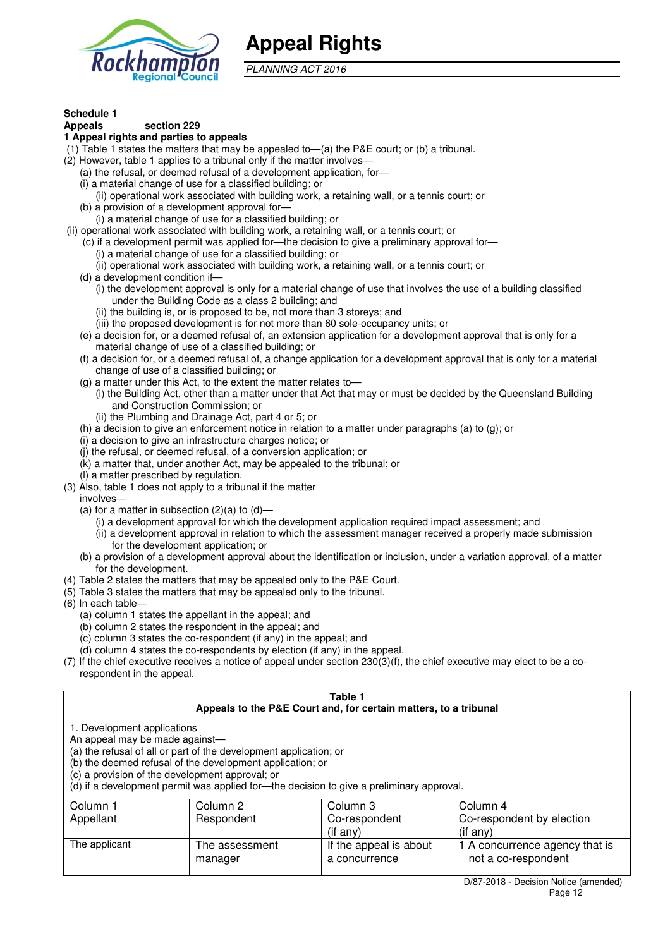

## **Appeal Rights**

PLANNING ACT 2016

#### **Schedule 1**

#### **Appeals section 229**

#### **1 Appeal rights and parties to appeals**

- (1) Table 1 states the matters that may be appealed to—(a) the P&E court; or (b) a tribunal.
- (2) However, table 1 applies to a tribunal only if the matter involves—
	- (a) the refusal, or deemed refusal of a development application, for—
	- (i) a material change of use for a classified building; or
	- (ii) operational work associated with building work, a retaining wall, or a tennis court; or
	- (b) a provision of a development approval for—
- (i) a material change of use for a classified building; or
- (ii) operational work associated with building work, a retaining wall, or a tennis court; or
	- (c) if a development permit was applied for—the decision to give a preliminary approval for— (i) a material change of use for a classified building; or
		- (ii) operational work associated with building work, a retaining wall, or a tennis court; or
	- (d) a development condition if—
		- (i) the development approval is only for a material change of use that involves the use of a building classified under the Building Code as a class 2 building; and
			- (ii) the building is, or is proposed to be, not more than 3 storeys; and
			- (iii) the proposed development is for not more than 60 sole-occupancy units; or
	- (e) a decision for, or a deemed refusal of, an extension application for a development approval that is only for a material change of use of a classified building; or
	- (f) a decision for, or a deemed refusal of, a change application for a development approval that is only for a material change of use of a classified building; or
	- (g) a matter under this Act, to the extent the matter relates to—
		- (i) the Building Act, other than a matter under that Act that may or must be decided by the Queensland Building and Construction Commission; or
		- (ii) the Plumbing and Drainage Act, part 4 or 5; or
	- (h) a decision to give an enforcement notice in relation to a matter under paragraphs (a) to (g); or
	- (i) a decision to give an infrastructure charges notice; or
	- (j) the refusal, or deemed refusal, of a conversion application; or
	- $(k)$  a matter that, under another Act, may be appealed to the tribunal; or
	- (l) a matter prescribed by regulation.
- (3) Also, table 1 does not apply to a tribunal if the matter involves—
	- (a) for a matter in subsection  $(2)(a)$  to  $(d)$ 
		- (i) a development approval for which the development application required impact assessment; and
		- (ii) a development approval in relation to which the assessment manager received a properly made submission for the development application; or
	- (b) a provision of a development approval about the identification or inclusion, under a variation approval, of a matter for the development.
- (4) Table 2 states the matters that may be appealed only to the P&E Court.
- (5) Table 3 states the matters that may be appealed only to the tribunal.
- (6) In each table—
	- (a) column 1 states the appellant in the appeal; and
	- (b) column 2 states the respondent in the appeal; and
	- (c) column 3 states the co-respondent (if any) in the appeal; and
	- (d) column 4 states the co-respondents by election (if any) in the appeal.
- (7) If the chief executive receives a notice of appeal under section 230(3)(f), the chief executive may elect to be a corespondent in the appeal.

| Table 1<br>Appeals to the P&E Court and, for certain matters, to a tribunal                                                                                                                                                                                                                                                                    |                           |                                         |                                                       |  |
|------------------------------------------------------------------------------------------------------------------------------------------------------------------------------------------------------------------------------------------------------------------------------------------------------------------------------------------------|---------------------------|-----------------------------------------|-------------------------------------------------------|--|
| 1. Development applications<br>An appeal may be made against-<br>(a) the refusal of all or part of the development application; or<br>(b) the deemed refusal of the development application; or<br>(c) a provision of the development approval; or<br>(d) if a development permit was applied for—the decision to give a preliminary approval. |                           |                                         |                                                       |  |
| Column 1                                                                                                                                                                                                                                                                                                                                       | Column 2                  | Column 3                                | Column 4                                              |  |
| Appellant                                                                                                                                                                                                                                                                                                                                      | Respondent                | Co-respondent<br>$($ if any $)$         | Co-respondent by election<br>$(i$ f any)              |  |
| The applicant                                                                                                                                                                                                                                                                                                                                  | The assessment<br>manager | If the appeal is about<br>a concurrence | 1 A concurrence agency that is<br>not a co-respondent |  |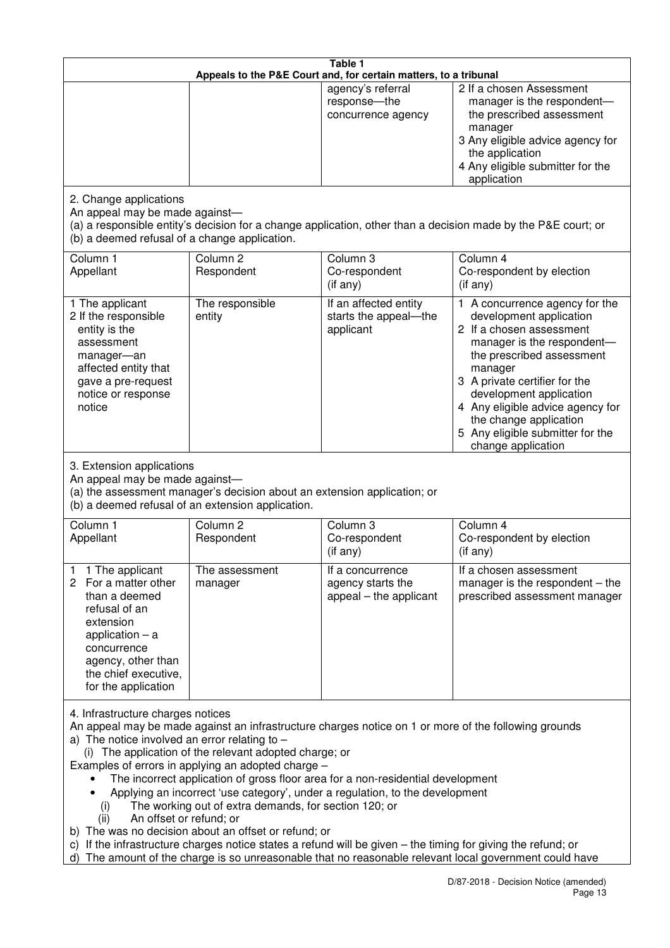| Table 1<br>Appeals to the P&E Court and, for certain matters, to a tribunal                                                                                                                                                                                                                                                                                                                                                                                                                                                                                                                                                                                                                                                                                                                                                                                          |                                                                                                                               |                                                                 |                                                                                                                                                                                                                                                                                                                                                 |  |
|----------------------------------------------------------------------------------------------------------------------------------------------------------------------------------------------------------------------------------------------------------------------------------------------------------------------------------------------------------------------------------------------------------------------------------------------------------------------------------------------------------------------------------------------------------------------------------------------------------------------------------------------------------------------------------------------------------------------------------------------------------------------------------------------------------------------------------------------------------------------|-------------------------------------------------------------------------------------------------------------------------------|-----------------------------------------------------------------|-------------------------------------------------------------------------------------------------------------------------------------------------------------------------------------------------------------------------------------------------------------------------------------------------------------------------------------------------|--|
|                                                                                                                                                                                                                                                                                                                                                                                                                                                                                                                                                                                                                                                                                                                                                                                                                                                                      |                                                                                                                               | agency's referral<br>response-the<br>concurrence agency         | 2 If a chosen Assessment<br>manager is the respondent-<br>the prescribed assessment<br>manager<br>3 Any eligible advice agency for<br>the application<br>4 Any eligible submitter for the<br>application                                                                                                                                        |  |
| 2. Change applications<br>An appeal may be made against-<br>(b) a deemed refusal of a change application.                                                                                                                                                                                                                                                                                                                                                                                                                                                                                                                                                                                                                                                                                                                                                            |                                                                                                                               |                                                                 | (a) a responsible entity's decision for a change application, other than a decision made by the P&E court; or                                                                                                                                                                                                                                   |  |
| Column 1<br>Appellant                                                                                                                                                                                                                                                                                                                                                                                                                                                                                                                                                                                                                                                                                                                                                                                                                                                | Column <sub>2</sub><br>Respondent                                                                                             | Column <sub>3</sub><br>Co-respondent<br>(if any)                | Column 4<br>Co-respondent by election<br>(if any)                                                                                                                                                                                                                                                                                               |  |
| 1 The applicant<br>2 If the responsible<br>entity is the<br>assessment<br>manager-an<br>affected entity that<br>gave a pre-request<br>notice or response<br>notice                                                                                                                                                                                                                                                                                                                                                                                                                                                                                                                                                                                                                                                                                                   | The responsible<br>entity                                                                                                     | If an affected entity<br>starts the appeal-the<br>applicant     | 1 A concurrence agency for the<br>development application<br>2 If a chosen assessment<br>manager is the respondent-<br>the prescribed assessment<br>manager<br>3 A private certifier for the<br>development application<br>4 Any eligible advice agency for<br>the change application<br>5 Any eligible submitter for the<br>change application |  |
| 3. Extension applications<br>An appeal may be made against-                                                                                                                                                                                                                                                                                                                                                                                                                                                                                                                                                                                                                                                                                                                                                                                                          | (a) the assessment manager's decision about an extension application; or<br>(b) a deemed refusal of an extension application. |                                                                 |                                                                                                                                                                                                                                                                                                                                                 |  |
| Column 1<br>Appellant                                                                                                                                                                                                                                                                                                                                                                                                                                                                                                                                                                                                                                                                                                                                                                                                                                                | Column <sub>2</sub><br>Respondent                                                                                             | Column 3<br>Co-respondent<br>(if any)                           | Column 4<br>Co-respondent by election<br>(if any)                                                                                                                                                                                                                                                                                               |  |
| 1 The applicant<br>1<br>For a matter other<br>2<br>than a deemed<br>refusal of an<br>extension<br>application $-$ a<br>concurrence<br>agency, other than<br>the chief executive,<br>for the application                                                                                                                                                                                                                                                                                                                                                                                                                                                                                                                                                                                                                                                              | The assessment<br>manager                                                                                                     | It a concurrence<br>agency starts the<br>appeal - the applicant | If a chosen assessment<br>manager is the respondent $-$ the<br>prescribed assessment manager                                                                                                                                                                                                                                                    |  |
| 4. Infrastructure charges notices<br>An appeal may be made against an infrastructure charges notice on 1 or more of the following grounds<br>a) The notice involved an error relating to $-$<br>(i) The application of the relevant adopted charge; or<br>Examples of errors in applying an adopted charge -<br>The incorrect application of gross floor area for a non-residential development<br>Applying an incorrect 'use category', under a regulation, to the development<br>The working out of extra demands, for section 120; or<br>(i)<br>An offset or refund; or<br>(ii)<br>b) The was no decision about an offset or refund; or<br>c) If the infrastructure charges notice states a refund will be given – the timing for giving the refund; or<br>d) The amount of the charge is so unreasonable that no reasonable relevant local government could have |                                                                                                                               |                                                                 |                                                                                                                                                                                                                                                                                                                                                 |  |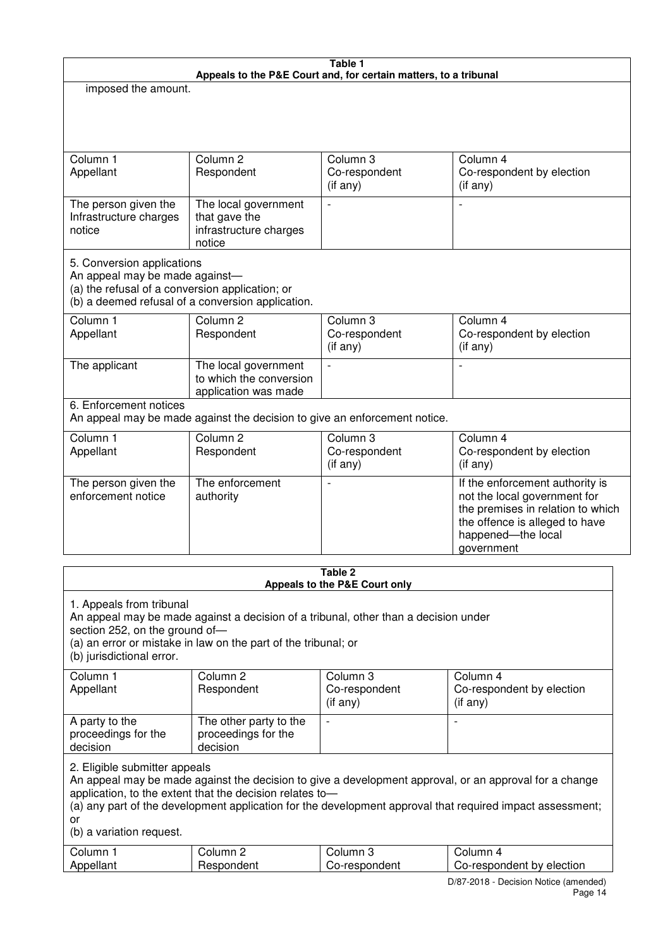| Table 1                                                                                                         |                                                                                                                                                       |                                             |                                                                                                                                                                                                                     |  |  |
|-----------------------------------------------------------------------------------------------------------------|-------------------------------------------------------------------------------------------------------------------------------------------------------|---------------------------------------------|---------------------------------------------------------------------------------------------------------------------------------------------------------------------------------------------------------------------|--|--|
| Appeals to the P&E Court and, for certain matters, to a tribunal<br>imposed the amount.                         |                                                                                                                                                       |                                             |                                                                                                                                                                                                                     |  |  |
|                                                                                                                 |                                                                                                                                                       |                                             |                                                                                                                                                                                                                     |  |  |
|                                                                                                                 |                                                                                                                                                       |                                             |                                                                                                                                                                                                                     |  |  |
| Column 1<br>Appellant                                                                                           | Column <sub>2</sub><br>Respondent                                                                                                                     | Column 3<br>Co-respondent<br>(if any)       | Column 4<br>Co-respondent by election<br>(if any)                                                                                                                                                                   |  |  |
| The person given the<br>Infrastructure charges<br>notice                                                        | The local government<br>that gave the<br>infrastructure charges<br>notice                                                                             | $\overline{a}$                              | L,                                                                                                                                                                                                                  |  |  |
| 5. Conversion applications<br>An appeal may be made against-<br>(a) the refusal of a conversion application; or | (b) a deemed refusal of a conversion application.                                                                                                     |                                             |                                                                                                                                                                                                                     |  |  |
| Column 1<br>Appellant                                                                                           | Column <sub>2</sub><br>Respondent                                                                                                                     | Column 3<br>Co-respondent<br>(if any)       | Column 4<br>Co-respondent by election<br>(if any)                                                                                                                                                                   |  |  |
| The applicant                                                                                                   | The local government<br>to which the conversion<br>application was made                                                                               |                                             | L,                                                                                                                                                                                                                  |  |  |
| 6. Enforcement notices                                                                                          | An appeal may be made against the decision to give an enforcement notice.                                                                             |                                             |                                                                                                                                                                                                                     |  |  |
| Column 1<br>Appellant                                                                                           | Column <sub>2</sub><br>Respondent                                                                                                                     | Column 3<br>Co-respondent<br>(if any)       | Column 4<br>Co-respondent by election<br>(if any)                                                                                                                                                                   |  |  |
| The person given the<br>enforcement notice                                                                      | The enforcement<br>authority                                                                                                                          |                                             | If the enforcement authority is<br>not the local government for<br>the premises in relation to which<br>the offence is alleged to have<br>happened-the local<br>government                                          |  |  |
| Table 2                                                                                                         |                                                                                                                                                       |                                             |                                                                                                                                                                                                                     |  |  |
|                                                                                                                 |                                                                                                                                                       | Appeals to the P&E Court only               |                                                                                                                                                                                                                     |  |  |
| 1. Appeals from tribunal<br>section 252, on the ground of-<br>(b) jurisdictional error.                         | An appeal may be made against a decision of a tribunal, other than a decision under<br>(a) an error or mistake in law on the part of the tribunal; or |                                             |                                                                                                                                                                                                                     |  |  |
| Column 1<br>Appellant                                                                                           | Column <sub>2</sub><br>Respondent                                                                                                                     | Column 3<br>Co-respondent<br>$($ if any $)$ | Column 4<br>Co-respondent by election<br>$($ if any $)$                                                                                                                                                             |  |  |
| A party to the<br>proceedings for the<br>decision                                                               | The other party to the<br>proceedings for the<br>decision                                                                                             | $\overline{\phantom{a}}$                    | $\overline{\phantom{a}}$                                                                                                                                                                                            |  |  |
| 2. Eligible submitter appeals<br>or<br>(b) a variation request.                                                 | application, to the extent that the decision relates to-                                                                                              |                                             | An appeal may be made against the decision to give a development approval, or an approval for a change<br>(a) any part of the development application for the development approval that required impact assessment; |  |  |
| Column 1<br>Appellant                                                                                           | Column <sub>2</sub><br>Respondent                                                                                                                     | Column 3<br>Co-respondent                   | Column 4<br>Co-respondent by election                                                                                                                                                                               |  |  |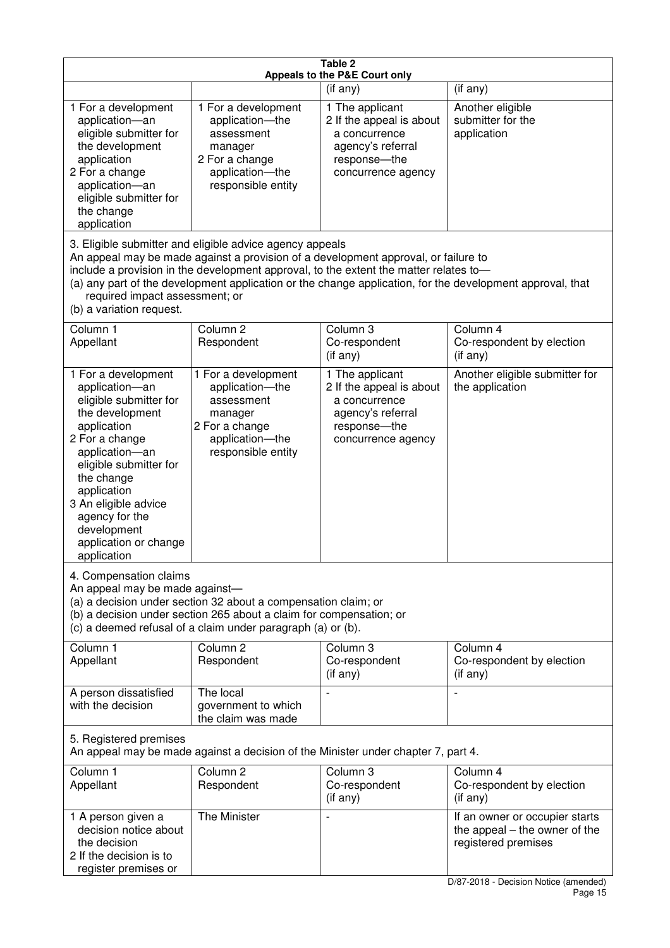| Table 2<br>Appeals to the P&E Court only                                                                                                                                                                                                                                                      |                                                                                                                                                                                                                                         |                                                                                                                          |                                                                                                                                   |  |
|-----------------------------------------------------------------------------------------------------------------------------------------------------------------------------------------------------------------------------------------------------------------------------------------------|-----------------------------------------------------------------------------------------------------------------------------------------------------------------------------------------------------------------------------------------|--------------------------------------------------------------------------------------------------------------------------|-----------------------------------------------------------------------------------------------------------------------------------|--|
|                                                                                                                                                                                                                                                                                               |                                                                                                                                                                                                                                         | (if any)                                                                                                                 | (if any)                                                                                                                          |  |
| 1 For a development<br>application-an<br>eligible submitter for<br>the development<br>application<br>2 For a change<br>application-an<br>eligible submitter for<br>the change<br>application                                                                                                  | 1 For a development<br>application-the<br>assessment<br>manager<br>2 For a change<br>application-the<br>responsible entity                                                                                                              | 1 The applicant<br>2 If the appeal is about<br>a concurrence<br>agency's referral<br>response-the<br>concurrence agency  | Another eligible<br>submitter for the<br>application                                                                              |  |
| required impact assessment; or<br>(b) a variation request.                                                                                                                                                                                                                                    | 3. Eligible submitter and eligible advice agency appeals<br>An appeal may be made against a provision of a development approval, or failure to<br>include a provision in the development approval, to the extent the matter relates to- |                                                                                                                          | (a) any part of the development application or the change application, for the development approval, that                         |  |
| Column 1<br>Appellant                                                                                                                                                                                                                                                                         | Column <sub>2</sub><br>Respondent                                                                                                                                                                                                       | Column 3<br>Co-respondent<br>(if any)                                                                                    | Column 4<br>Co-respondent by election<br>(if any)                                                                                 |  |
| 1 For a development<br>application-an<br>eligible submitter for<br>the development<br>application<br>2 For a change<br>application-an<br>eligible submitter for<br>the change<br>application<br>3 An eligible advice<br>agency for the<br>development<br>application or change<br>application | 1 For a development<br>application-the<br>assessment<br>manager<br>2 For a change<br>application-the<br>responsible entity                                                                                                              | 1 The applicant<br>2 If the appeal is about<br>a concurrence<br>agency's referral<br>response--the<br>concurrence agency | Another eligible submitter for<br>the application                                                                                 |  |
| 4. Compensation claims<br>An appeal may be made against-<br>(a) a decision under section 32 about a compensation claim; or<br>(b) a decision under section 265 about a claim for compensation; or<br>(c) a deemed refusal of a claim under paragraph (a) or (b).                              |                                                                                                                                                                                                                                         |                                                                                                                          |                                                                                                                                   |  |
| Column 1<br>Appellant                                                                                                                                                                                                                                                                         | Column <sub>2</sub><br>Respondent                                                                                                                                                                                                       | Column 3<br>Co-respondent<br>(if any)                                                                                    | Column 4<br>Co-respondent by election<br>(if any)                                                                                 |  |
| A person dissatisfied<br>with the decision                                                                                                                                                                                                                                                    | The local<br>government to which<br>the claim was made                                                                                                                                                                                  |                                                                                                                          |                                                                                                                                   |  |
| 5. Registered premises<br>An appeal may be made against a decision of the Minister under chapter 7, part 4.                                                                                                                                                                                   |                                                                                                                                                                                                                                         |                                                                                                                          |                                                                                                                                   |  |
| Column 1<br>Appellant                                                                                                                                                                                                                                                                         | Column <sub>2</sub><br>Respondent                                                                                                                                                                                                       | Column 3<br>Co-respondent<br>(if any)                                                                                    | Column 4<br>Co-respondent by election<br>(if any)                                                                                 |  |
| 1 A person given a<br>decision notice about<br>the decision<br>2 If the decision is to<br>register premises or                                                                                                                                                                                | The Minister                                                                                                                                                                                                                            |                                                                                                                          | If an owner or occupier starts<br>the appeal $-$ the owner of the<br>registered premises<br>D/87-2018 - Decision Notice (amended) |  |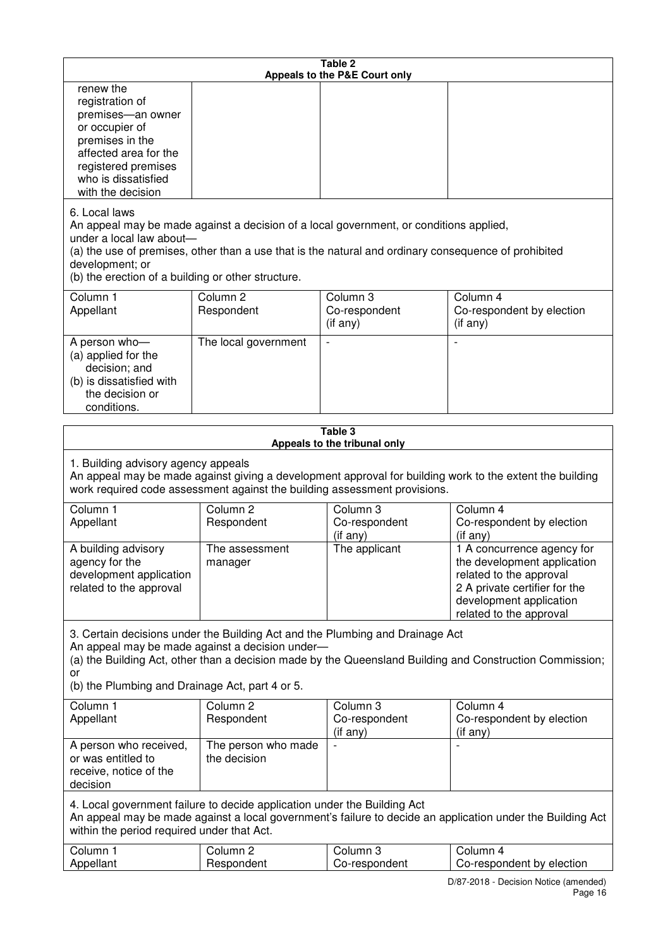| Table 2<br>Appeals to the P&E Court only                                                                                                                                                                                                                                                              |                                                                                                                                                                                                                                                                                  |                                       |                                                                                                                                                                             |  |  |
|-------------------------------------------------------------------------------------------------------------------------------------------------------------------------------------------------------------------------------------------------------------------------------------------------------|----------------------------------------------------------------------------------------------------------------------------------------------------------------------------------------------------------------------------------------------------------------------------------|---------------------------------------|-----------------------------------------------------------------------------------------------------------------------------------------------------------------------------|--|--|
| renew the<br>registration of<br>premises-an owner<br>or occupier of<br>premises in the<br>affected area for the<br>registered premises<br>who is dissatisfied<br>with the decision                                                                                                                    |                                                                                                                                                                                                                                                                                  |                                       |                                                                                                                                                                             |  |  |
| 6. Local laws<br>development; or                                                                                                                                                                                                                                                                      | An appeal may be made against a decision of a local government, or conditions applied,<br>under a local law about-<br>(a) the use of premises, other than a use that is the natural and ordinary consequence of prohibited<br>(b) the erection of a building or other structure. |                                       |                                                                                                                                                                             |  |  |
| Column 1<br>Appellant                                                                                                                                                                                                                                                                                 | Column <sub>2</sub><br>Respondent                                                                                                                                                                                                                                                | Column 3<br>Co-respondent<br>(if any) | Column 4<br>Co-respondent by election<br>(i f any)                                                                                                                          |  |  |
| A person who-<br>(a) applied for the<br>decision; and<br>(b) is dissatisfied with<br>the decision or<br>conditions.                                                                                                                                                                                   | The local government                                                                                                                                                                                                                                                             |                                       |                                                                                                                                                                             |  |  |
|                                                                                                                                                                                                                                                                                                       |                                                                                                                                                                                                                                                                                  | Table 3                               |                                                                                                                                                                             |  |  |
| Appeals to the tribunal only<br>1. Building advisory agency appeals<br>An appeal may be made against giving a development approval for building work to the extent the building<br>work required code assessment against the building assessment provisions.                                          |                                                                                                                                                                                                                                                                                  |                                       |                                                                                                                                                                             |  |  |
| Column 1<br>Appellant                                                                                                                                                                                                                                                                                 | Column <sub>2</sub><br>Respondent                                                                                                                                                                                                                                                | Column 3<br>Co-respondent<br>(if any) | Column 4<br>Co-respondent by election<br>(if any)                                                                                                                           |  |  |
| A building advisory<br>agency for the<br>development application<br>related to the approval                                                                                                                                                                                                           | The assessment<br>manager                                                                                                                                                                                                                                                        | The applicant                         | 1 A concurrence agency for<br>the development application<br>related to the approval<br>2 A private certifier for the<br>development application<br>related to the approval |  |  |
| 3. Certain decisions under the Building Act and the Plumbing and Drainage Act<br>An appeal may be made against a decision under-<br>(a) the Building Act, other than a decision made by the Queensland Building and Construction Commission;<br>or<br>(b) the Plumbing and Drainage Act, part 4 or 5. |                                                                                                                                                                                                                                                                                  |                                       |                                                                                                                                                                             |  |  |
| Column 1<br>Appellant                                                                                                                                                                                                                                                                                 | Column <sub>2</sub><br>Respondent                                                                                                                                                                                                                                                | Column 3<br>Co-respondent<br>(if any) | Column 4<br>Co-respondent by election<br>(if any)                                                                                                                           |  |  |
| A person who received,<br>or was entitled to<br>receive, notice of the<br>decision                                                                                                                                                                                                                    | The person who made<br>the decision                                                                                                                                                                                                                                              |                                       |                                                                                                                                                                             |  |  |
| 4. Local government failure to decide application under the Building Act<br>An appeal may be made against a local government's failure to decide an application under the Building Act<br>within the period required under that Act.                                                                  |                                                                                                                                                                                                                                                                                  |                                       |                                                                                                                                                                             |  |  |
| Column 1<br>Appellant                                                                                                                                                                                                                                                                                 | Column <sub>2</sub><br>Respondent                                                                                                                                                                                                                                                | Column 3<br>Co-respondent             | Column 4<br>Co-respondent by election                                                                                                                                       |  |  |